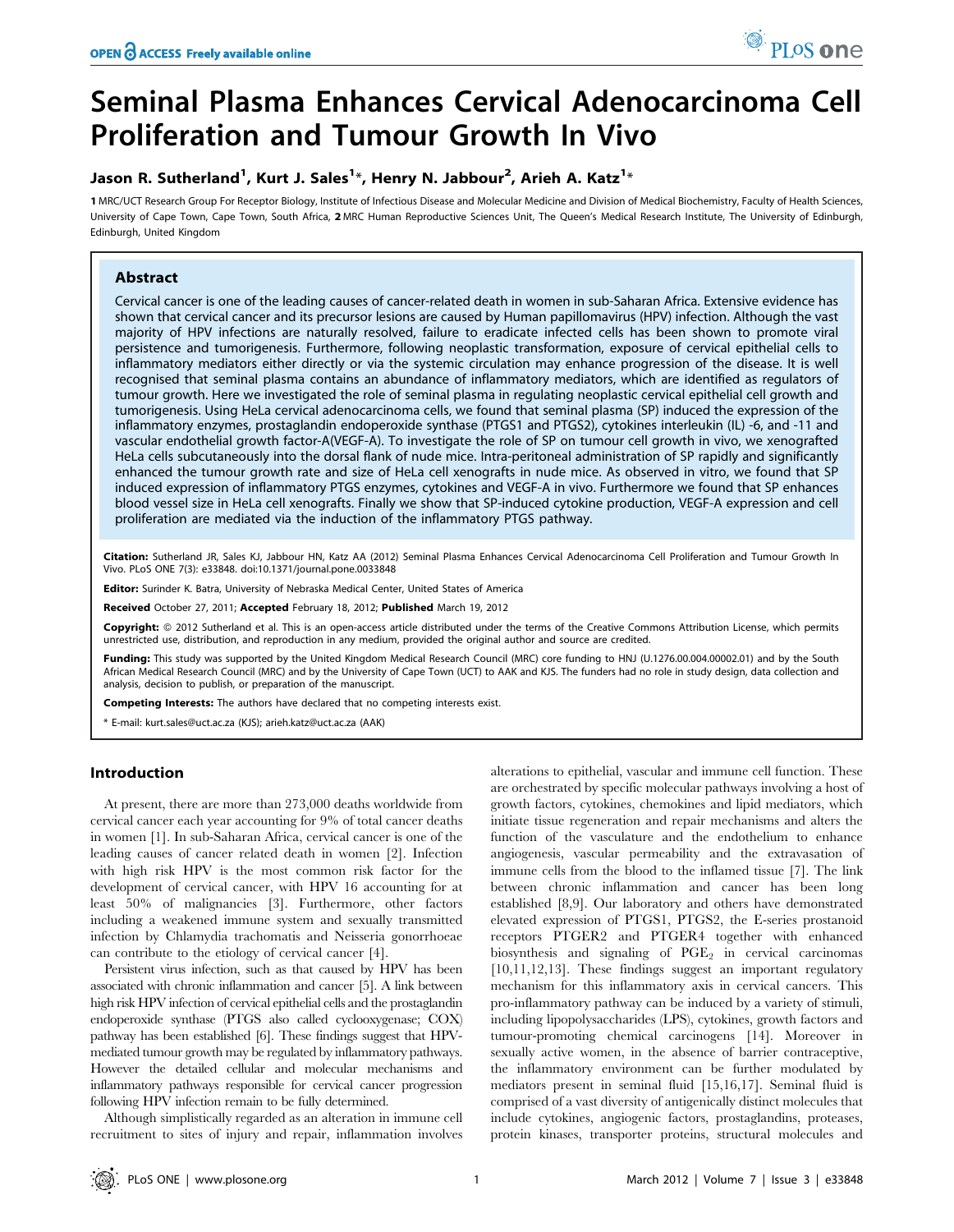# Seminal Plasma Enhances Cervical Adenocarcinoma Cell Proliferation and Tumour Growth In Vivo

## Jason R. Sutherland<sup>1</sup>, Kurt J. Sales<sup>1</sup>\*, Henry N. Jabbour<sup>2</sup>, Arieh A. Katz<sup>1</sup>\*

1 MRC/UCT Research Group For Receptor Biology, Institute of Infectious Disease and Molecular Medicine and Division of Medical Biochemistry, Faculty of Health Sciences, University of Cape Town, Cape Town, South Africa, 2 MRC Human Reproductive Sciences Unit, The Queen's Medical Research Institute, The University of Edinburgh, Edinburgh, United Kingdom

## Abstract

Cervical cancer is one of the leading causes of cancer-related death in women in sub-Saharan Africa. Extensive evidence has shown that cervical cancer and its precursor lesions are caused by Human papillomavirus (HPV) infection. Although the vast majority of HPV infections are naturally resolved, failure to eradicate infected cells has been shown to promote viral persistence and tumorigenesis. Furthermore, following neoplastic transformation, exposure of cervical epithelial cells to inflammatory mediators either directly or via the systemic circulation may enhance progression of the disease. It is well recognised that seminal plasma contains an abundance of inflammatory mediators, which are identified as regulators of tumour growth. Here we investigated the role of seminal plasma in regulating neoplastic cervical epithelial cell growth and tumorigenesis. Using HeLa cervical adenocarcinoma cells, we found that seminal plasma (SP) induced the expression of the inflammatory enzymes, prostaglandin endoperoxide synthase (PTGS1 and PTGS2), cytokines interleukin (IL) -6, and -11 and vascular endothelial growth factor-A(VEGF-A). To investigate the role of SP on tumour cell growth in vivo, we xenografted HeLa cells subcutaneously into the dorsal flank of nude mice. Intra-peritoneal administration of SP rapidly and significantly enhanced the tumour growth rate and size of HeLa cell xenografts in nude mice. As observed in vitro, we found that SP induced expression of inflammatory PTGS enzymes, cytokines and VEGF-A in vivo. Furthermore we found that SP enhances blood vessel size in HeLa cell xenografts. Finally we show that SP-induced cytokine production, VEGF-A expression and cell proliferation are mediated via the induction of the inflammatory PTGS pathway.

Citation: Sutherland JR, Sales KJ, Jabbour HN, Katz AA (2012) Seminal Plasma Enhances Cervical Adenocarcinoma Cell Proliferation and Tumour Growth In Vivo. PLoS ONE 7(3): e33848. doi:10.1371/journal.pone.0033848

Editor: Surinder K. Batra, University of Nebraska Medical Center, United States of America

Received October 27, 2011; Accepted February 18, 2012; Published March 19, 2012

Copyright: © 2012 Sutherland et al. This is an open-access article distributed under the terms of the Creative Commons Attribution License, which permits restricted use, distribution, and reproduction in any medium, provided the original author and source are credited.

Funding: This study was supported by the United Kingdom Medical Research Council (MRC) core funding to HNJ (U.1276.00.004.00002.01) and by the South African Medical Research Council (MRC) and by the University of Cape Town (UCT) to AAK and KJS. The funders had no role in study design, data collection and analysis, decision to publish, or preparation of the manuscript.

Competing Interests: The authors have declared that no competing interests exist.

\* E-mail: kurt.sales@uct.ac.za (KJS); arieh.katz@uct.ac.za (AAK)

## Introduction

At present, there are more than 273,000 deaths worldwide from cervical cancer each year accounting for 9% of total cancer deaths in women [1]. In sub-Saharan Africa, cervical cancer is one of the leading causes of cancer related death in women [2]. Infection with high risk HPV is the most common risk factor for the development of cervical cancer, with HPV 16 accounting for at least 50% of malignancies [3]. Furthermore, other factors including a weakened immune system and sexually transmitted infection by Chlamydia trachomatis and Neisseria gonorrhoeae can contribute to the etiology of cervical cancer [4].

Persistent virus infection, such as that caused by HPV has been associated with chronic inflammation and cancer [5]. A link between high risk HPV infection of cervical epithelial cells and the prostaglandin endoperoxide synthase (PTGS also called cyclooxygenase; COX) pathway has been established [6]. These findings suggest that HPVmediated tumour growth may be regulated by inflammatory pathways. However the detailed cellular and molecular mechanisms and inflammatory pathways responsible for cervical cancer progression following HPV infection remain to be fully determined.

Although simplistically regarded as an alteration in immune cell recruitment to sites of injury and repair, inflammation involves

alterations to epithelial, vascular and immune cell function. These are orchestrated by specific molecular pathways involving a host of growth factors, cytokines, chemokines and lipid mediators, which initiate tissue regeneration and repair mechanisms and alters the function of the vasculature and the endothelium to enhance angiogenesis, vascular permeability and the extravasation of immune cells from the blood to the inflamed tissue [7]. The link between chronic inflammation and cancer has been long established [8,9]. Our laboratory and others have demonstrated elevated expression of PTGS1, PTGS2, the E-series prostanoid receptors PTGER2 and PTGER4 together with enhanced biosynthesis and signaling of  $PGE<sub>2</sub>$  in cervical carcinomas [10,11,12,13]. These findings suggest an important regulatory mechanism for this inflammatory axis in cervical cancers. This pro-inflammatory pathway can be induced by a variety of stimuli, including lipopolysaccharides (LPS), cytokines, growth factors and tumour-promoting chemical carcinogens [14]. Moreover in sexually active women, in the absence of barrier contraceptive, the inflammatory environment can be further modulated by mediators present in seminal fluid [15,16,17]. Seminal fluid is comprised of a vast diversity of antigenically distinct molecules that include cytokines, angiogenic factors, prostaglandins, proteases, protein kinases, transporter proteins, structural molecules and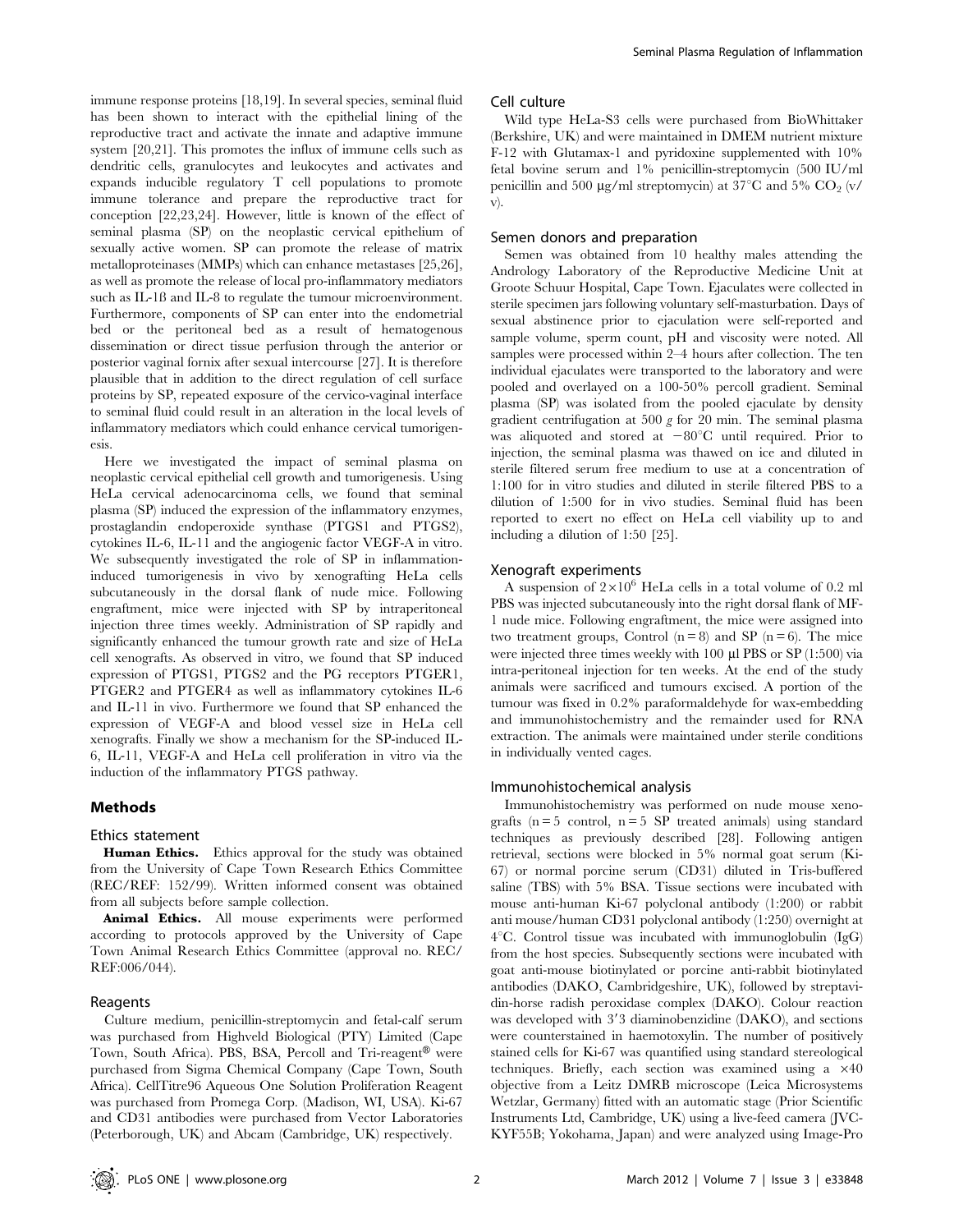immune response proteins [18,19]. In several species, seminal fluid has been shown to interact with the epithelial lining of the reproductive tract and activate the innate and adaptive immune system [20,21]. This promotes the influx of immune cells such as dendritic cells, granulocytes and leukocytes and activates and expands inducible regulatory T cell populations to promote immune tolerance and prepare the reproductive tract for conception [22,23,24]. However, little is known of the effect of seminal plasma (SP) on the neoplastic cervical epithelium of sexually active women. SP can promote the release of matrix metalloproteinases (MMPs) which can enhance metastases [25,26], as well as promote the release of local pro-inflammatory mediators such as IL-1ß and IL-8 to regulate the tumour microenvironment. Furthermore, components of SP can enter into the endometrial bed or the peritoneal bed as a result of hematogenous dissemination or direct tissue perfusion through the anterior or posterior vaginal fornix after sexual intercourse [27]. It is therefore plausible that in addition to the direct regulation of cell surface proteins by SP, repeated exposure of the cervico-vaginal interface to seminal fluid could result in an alteration in the local levels of inflammatory mediators which could enhance cervical tumorigenesis.

Here we investigated the impact of seminal plasma on neoplastic cervical epithelial cell growth and tumorigenesis. Using HeLa cervical adenocarcinoma cells, we found that seminal plasma (SP) induced the expression of the inflammatory enzymes, prostaglandin endoperoxide synthase (PTGS1 and PTGS2), cytokines IL-6, IL-11 and the angiogenic factor VEGF-A in vitro. We subsequently investigated the role of SP in inflammationinduced tumorigenesis in vivo by xenografting HeLa cells subcutaneously in the dorsal flank of nude mice. Following engraftment, mice were injected with SP by intraperitoneal injection three times weekly. Administration of SP rapidly and significantly enhanced the tumour growth rate and size of HeLa cell xenografts. As observed in vitro, we found that SP induced expression of PTGS1, PTGS2 and the PG receptors PTGER1, PTGER2 and PTGER4 as well as inflammatory cytokines IL-6 and IL-11 in vivo. Furthermore we found that SP enhanced the expression of VEGF-A and blood vessel size in HeLa cell xenografts. Finally we show a mechanism for the SP-induced IL-6, IL-11, VEGF-A and HeLa cell proliferation in vitro via the induction of the inflammatory PTGS pathway.

## Methods

#### Ethics statement

Human Ethics. Ethics approval for the study was obtained from the University of Cape Town Research Ethics Committee (REC/REF: 152/99). Written informed consent was obtained from all subjects before sample collection.

Animal Ethics. All mouse experiments were performed according to protocols approved by the University of Cape Town Animal Research Ethics Committee (approval no. REC/ REF:006/044).

### Reagents

Culture medium, penicillin-streptomycin and fetal-calf serum was purchased from Highveld Biological (PTY) Limited (Cape Town, South Africa). PBS, BSA, Percoll and Tri-reagent® were purchased from Sigma Chemical Company (Cape Town, South Africa). CellTitre96 Aqueous One Solution Proliferation Reagent was purchased from Promega Corp. (Madison, WI, USA). Ki-67 and CD31 antibodies were purchased from Vector Laboratories (Peterborough, UK) and Abcam (Cambridge, UK) respectively.

#### Cell culture

Wild type HeLa-S3 cells were purchased from BioWhittaker (Berkshire, UK) and were maintained in DMEM nutrient mixture F-12 with Glutamax-1 and pyridoxine supplemented with 10% fetal bovine serum and 1% penicillin-streptomycin (500 IU/ml penicillin and 500 µg/ml streptomycin) at 37 $\mathrm{^{\circ}C}$  and 5%  $\mathrm{CO}_2$  (v/ v).

## Semen donors and preparation

Semen was obtained from 10 healthy males attending the Andrology Laboratory of the Reproductive Medicine Unit at Groote Schuur Hospital, Cape Town. Ejaculates were collected in sterile specimen jars following voluntary self-masturbation. Days of sexual abstinence prior to ejaculation were self-reported and sample volume, sperm count, pH and viscosity were noted. All samples were processed within 2–4 hours after collection. The ten individual ejaculates were transported to the laboratory and were pooled and overlayed on a 100-50% percoll gradient. Seminal plasma (SP) was isolated from the pooled ejaculate by density gradient centrifugation at 500  $g$  for 20 min. The seminal plasma was aliquoted and stored at  $-80^{\circ}$ C until required. Prior to injection, the seminal plasma was thawed on ice and diluted in sterile filtered serum free medium to use at a concentration of 1:100 for in vitro studies and diluted in sterile filtered PBS to a dilution of 1:500 for in vivo studies. Seminal fluid has been reported to exert no effect on HeLa cell viability up to and including a dilution of 1:50 [25].

#### Xenograft experiments

A suspension of  $2\times10^6$  HeLa cells in a total volume of 0.2 ml PBS was injected subcutaneously into the right dorsal flank of MF-1 nude mice. Following engraftment, the mice were assigned into two treatment groups, Control  $(n = 8)$  and SP  $(n = 6)$ . The mice were injected three times weekly with  $100 \mu$  PBS or SP (1:500) via intra-peritoneal injection for ten weeks. At the end of the study animals were sacrificed and tumours excised. A portion of the tumour was fixed in 0.2% paraformaldehyde for wax-embedding and immunohistochemistry and the remainder used for RNA extraction. The animals were maintained under sterile conditions in individually vented cages.

## Immunohistochemical analysis

Immunohistochemistry was performed on nude mouse xenografts  $(n = 5 \text{ control}, n = 5 \text{ SP}$  treated animals) using standard techniques as previously described [28]. Following antigen retrieval, sections were blocked in 5% normal goat serum (Ki-67) or normal porcine serum (CD31) diluted in Tris-buffered saline (TBS) with 5% BSA. Tissue sections were incubated with mouse anti-human Ki-67 polyclonal antibody (1:200) or rabbit anti mouse/human CD31 polyclonal antibody (1:250) overnight at  $4^{\circ}$ C. Control tissue was incubated with immunoglobulin (IgG) from the host species. Subsequently sections were incubated with goat anti-mouse biotinylated or porcine anti-rabbit biotinylated antibodies (DAKO, Cambridgeshire, UK), followed by streptavidin-horse radish peroxidase complex (DAKO). Colour reaction was developed with 3'3 diaminobenzidine (DAKO), and sections were counterstained in haemotoxylin. The number of positively stained cells for Ki-67 was quantified using standard stereological techniques. Briefly, each section was examined using a  $\times 40$ objective from a Leitz DMRB microscope (Leica Microsystems Wetzlar, Germany) fitted with an automatic stage (Prior Scientific Instruments Ltd, Cambridge, UK) using a live-feed camera (JVC-KYF55B; Yokohama, Japan) and were analyzed using Image-Pro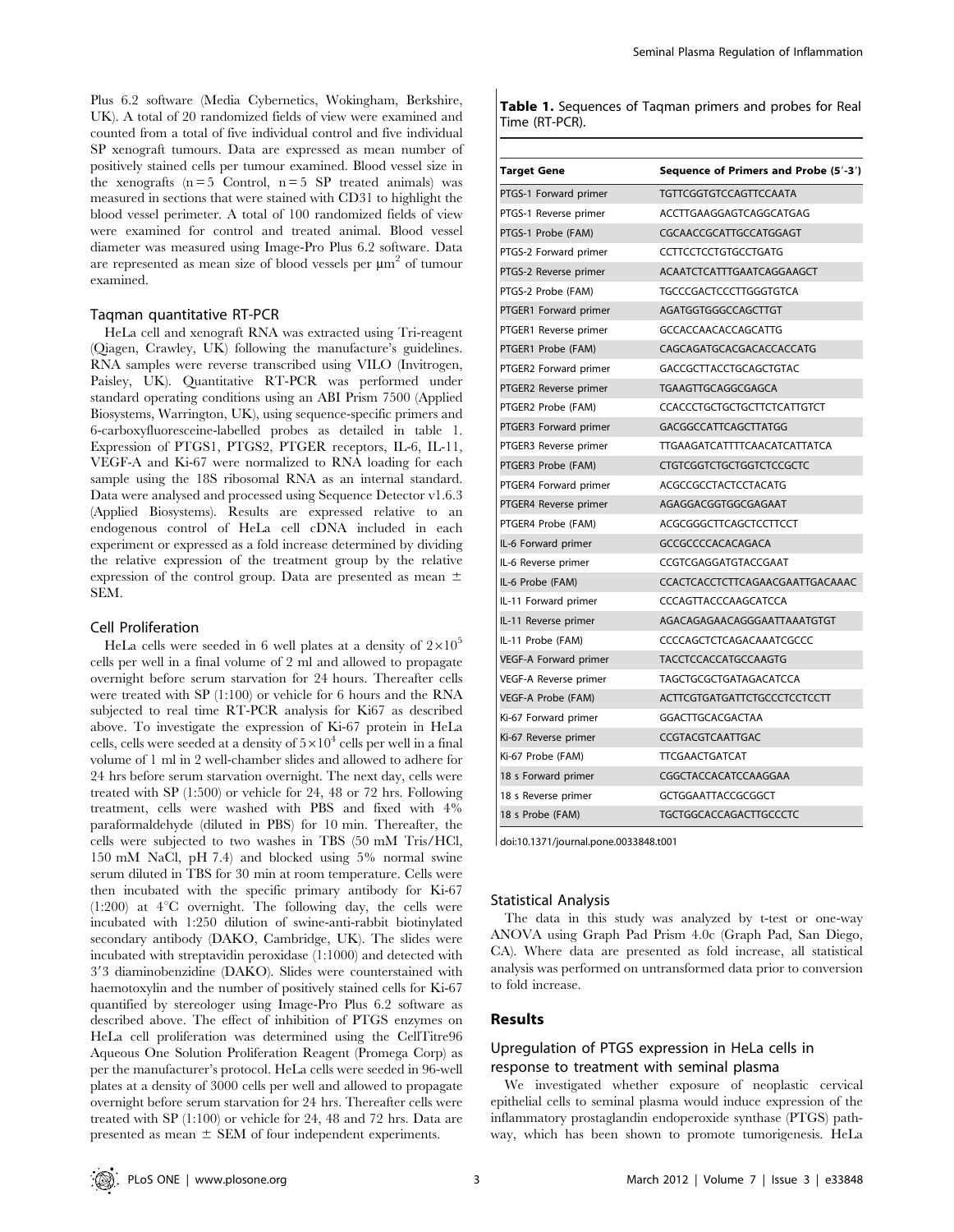Plus 6.2 software (Media Cybernetics, Wokingham, Berkshire, UK). A total of 20 randomized fields of view were examined and counted from a total of five individual control and five individual SP xenograft tumours. Data are expressed as mean number of positively stained cells per tumour examined. Blood vessel size in the xenografts  $(n=5 \text{ Control}, n=5 \text{ SP}$  treated animals) was measured in sections that were stained with CD31 to highlight the blood vessel perimeter. A total of 100 randomized fields of view were examined for control and treated animal. Blood vessel diameter was measured using Image-Pro Plus 6.2 software. Data are represented as mean size of blood vessels per  $\mu m^2$  of tumour examined.

#### Taqman quantitative RT-PCR

HeLa cell and xenograft RNA was extracted using Tri-reagent (Qiagen, Crawley, UK) following the manufacture's guidelines. RNA samples were reverse transcribed using VILO (Invitrogen, Paisley, UK). Quantitative RT-PCR was performed under standard operating conditions using an ABI Prism 7500 (Applied Biosystems, Warrington, UK), using sequence-specific primers and 6-carboxyfluoresceine-labelled probes as detailed in table 1. Expression of PTGS1, PTGS2, PTGER receptors, IL-6, IL-11, VEGF-A and Ki-67 were normalized to RNA loading for each sample using the 18S ribosomal RNA as an internal standard. Data were analysed and processed using Sequence Detector v1.6.3 (Applied Biosystems). Results are expressed relative to an endogenous control of HeLa cell cDNA included in each experiment or expressed as a fold increase determined by dividing the relative expression of the treatment group by the relative expression of the control group. Data are presented as mean  $\pm$ SEM.

#### Cell Proliferation

HeLa cells were seeded in 6 well plates at a density of  $2\times10^5$ cells per well in a final volume of 2 ml and allowed to propagate overnight before serum starvation for 24 hours. Thereafter cells were treated with SP (1:100) or vehicle for 6 hours and the RNA subjected to real time RT-PCR analysis for Ki67 as described above. To investigate the expression of Ki-67 protein in HeLa cells, cells were seeded at a density of  $5\times10^4$  cells per well in a final volume of 1 ml in 2 well-chamber slides and allowed to adhere for 24 hrs before serum starvation overnight. The next day, cells were treated with SP (1:500) or vehicle for 24, 48 or 72 hrs. Following treatment, cells were washed with PBS and fixed with 4% paraformaldehyde (diluted in PBS) for 10 min. Thereafter, the cells were subjected to two washes in TBS (50 mM Tris/HCl, 150 mM NaCl, pH 7.4) and blocked using 5% normal swine serum diluted in TBS for 30 min at room temperature. Cells were then incubated with the specific primary antibody for Ki-67  $(1:200)$  at  $4^{\circ}$ C overnight. The following day, the cells were incubated with 1:250 dilution of swine-anti-rabbit biotinylated secondary antibody (DAKO, Cambridge, UK). The slides were incubated with streptavidin peroxidase (1:1000) and detected with 3'3 diaminobenzidine (DAKO). Slides were counterstained with haemotoxylin and the number of positively stained cells for Ki-67 quantified by stereologer using Image-Pro Plus 6.2 software as described above. The effect of inhibition of PTGS enzymes on HeLa cell proliferation was determined using the CellTitre96 Aqueous One Solution Proliferation Reagent (Promega Corp) as per the manufacturer's protocol. HeLa cells were seeded in 96-well plates at a density of 3000 cells per well and allowed to propagate overnight before serum starvation for 24 hrs. Thereafter cells were treated with SP (1:100) or vehicle for 24, 48 and 72 hrs. Data are presented as mean  $\pm$  SEM of four independent experiments.

Table 1. Sequences of Taqman primers and probes for Real Time (RT-PCR).

| <b>Target Gene</b>    | Sequence of Primers and Probe (5'-3') |
|-----------------------|---------------------------------------|
| PTGS-1 Forward primer | <b>TGTTCGGTGTCCAGTTCCAATA</b>         |
| PTGS-1 Reverse primer | ACCTTGAAGGAGTCAGGCATGAG               |
| PTGS-1 Probe (FAM)    | CGCAACCGCATTGCCATGGAGT                |
| PTGS-2 Forward primer | <b>CCTTCCTCCTGTGCCTGATG</b>           |
| PTGS-2 Reverse primer | ACAATCTCATTTGAATCAGGAAGCT             |
| PTGS-2 Probe (FAM)    | TGCCCGACTCCCTTGGGTGTCA                |
| PTGER1 Forward primer | AGATGGTGGGCCAGCTTGT                   |
| PTGER1 Reverse primer | GCCACCAACACCAGCATTG                   |
| PTGER1 Probe (FAM)    | CAGCAGATGCACGACACCACCATG              |
| PTGER2 Forward primer | GACCGCTTACCTGCAGCTGTAC                |
| PTGER2 Reverse primer | TGAAGTTGCAGGCGAGCA                    |
| PTGER2 Probe (FAM)    | CCACCCTGCTGCTGCTTCTCATTGTCT           |
| PTGER3 Forward primer | GACGGCCATTCAGCTTATGG                  |
| PTGER3 Reverse primer | <b>TTGAAGATCATTTTCAACATCATTATCA</b>   |
| PTGER3 Probe (FAM)    | <b>CTGTCGGTCTGCTGGTCTCCGCTC</b>       |
| PTGER4 Forward primer | ACGCCGCCTACTCCTACATG                  |
| PTGER4 Reverse primer | AGAGGACGGTGGCGAGAAT                   |
| PTGER4 Probe (FAM)    | ACGCGGGCTTCAGCTCCTTCCT                |
| IL-6 Forward primer   | GCCGCCCCACACAGACA                     |
| IL-6 Reverse primer   | CCGTCGAGGATGTACCGAAT                  |
| IL-6 Probe (FAM)      | CCACTCACCTCTTCAGAACGAATTGACAAAC       |
| IL-11 Forward primer  | CCCAGTTACCCAAGCATCCA                  |
| IL-11 Reverse primer  | AGACAGAGAACAGGGAATTAAATGTGT           |
| IL-11 Probe (FAM)     | CCCCAGCTCTCAGACAAATCGCCC              |
| VEGF-A Forward primer | <b>TACCTCCACCATGCCAAGTG</b>           |
| VEGF-A Reverse primer | TAGCTGCGCTGATAGACATCCA                |
| VEGF-A Probe (FAM)    | ACTTCGTGATGATTCTGCCCTCCTCCTT          |
| Ki-67 Forward primer  | GGACTTGCACGACTAA                      |
| Ki-67 Reverse primer  | CCGTACGTCAATTGAC                      |
| Ki-67 Probe (FAM)     | <b>TTCGAACTGATCAT</b>                 |
| 18 s Forward primer   | CGGCTACCACATCCAAGGAA                  |
| 18 s Reverse primer   | GCTGGAATTACCGCGGCT                    |
| 18 s Probe (FAM)      | TGCTGGCACCAGACTTGCCCTC                |

doi:10.1371/journal.pone.0033848.t001

#### Statistical Analysis

The data in this study was analyzed by t-test or one-way ANOVA using Graph Pad Prism 4.0c (Graph Pad, San Diego, CA). Where data are presented as fold increase, all statistical analysis was performed on untransformed data prior to conversion to fold increase.

## Results

## Upregulation of PTGS expression in HeLa cells in response to treatment with seminal plasma

We investigated whether exposure of neoplastic cervical epithelial cells to seminal plasma would induce expression of the inflammatory prostaglandin endoperoxide synthase (PTGS) pathway, which has been shown to promote tumorigenesis. HeLa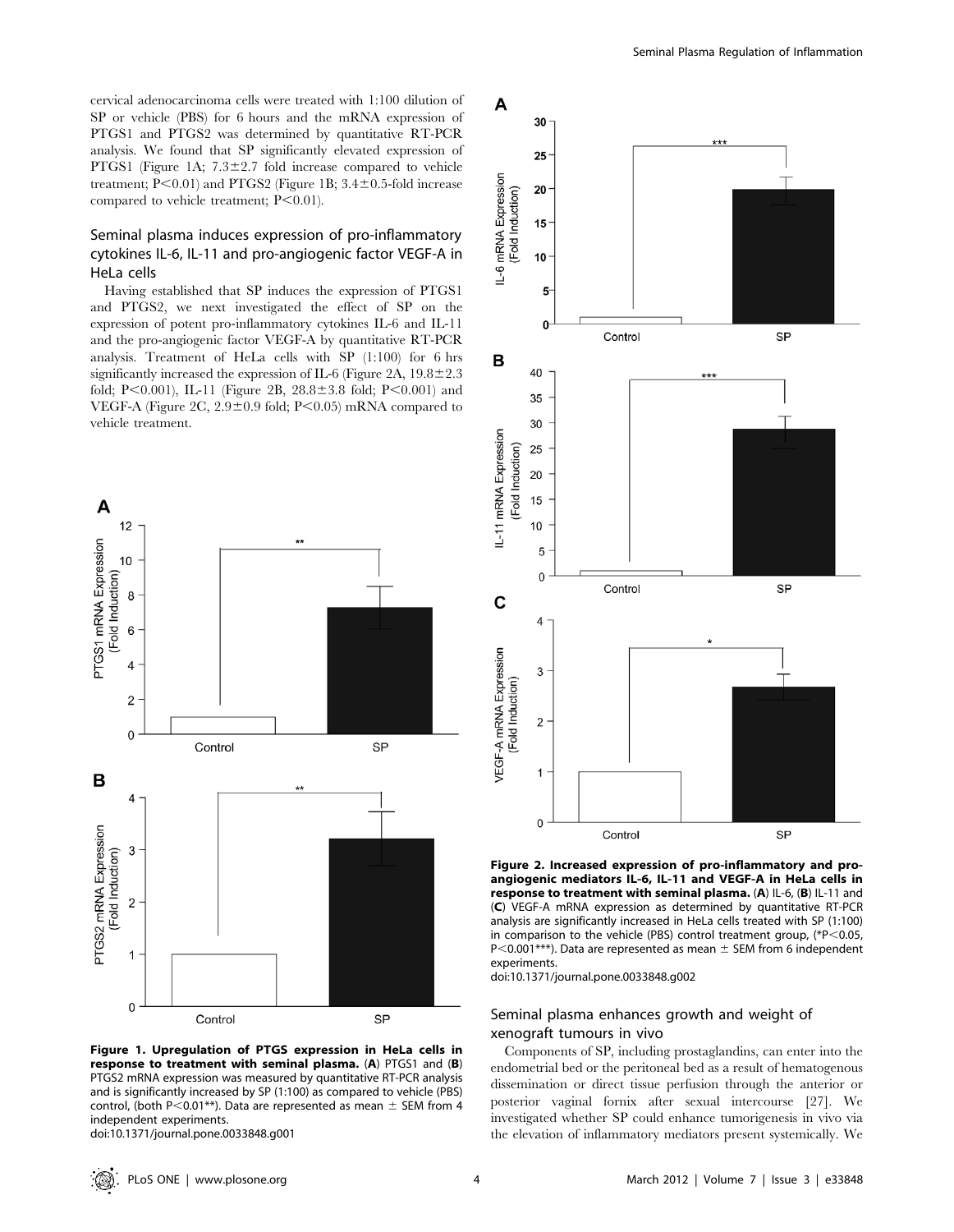cervical adenocarcinoma cells were treated with 1:100 dilution of SP or vehicle (PBS) for 6 hours and the mRNA expression of PTGS1 and PTGS2 was determined by quantitative RT-PCR analysis. We found that SP significantly elevated expression of PTGS1 (Figure 1A;  $7.3 \pm 2.7$  fold increase compared to vehicle treatment;  $P<0.01$ ) and PTGS2 (Figure 1B;  $3.4\pm0.5$ -fold increase compared to vehicle treatment;  $P<0.01$ ).

## Seminal plasma induces expression of pro-inflammatory cytokines IL-6, IL-11 and pro-angiogenic factor VEGF-A in HeLa cells

Having established that SP induces the expression of PTGS1 and PTGS2, we next investigated the effect of SP on the expression of potent pro-inflammatory cytokines IL-6 and IL-11 and the pro-angiogenic factor VEGF-A by quantitative RT-PCR analysis. Treatment of HeLa cells with SP (1:100) for 6 hrs significantly increased the expression of IL-6 (Figure 2A,  $19.8 \pm 2.3$ ) fold; P $< 0.001$ ), IL-11 (Figure 2B, 28.8 $\pm$ 3.8 fold; P $< 0.001$ ) and VEGF-A (Figure 2C,  $2.9\pm0.9$  fold; P<0.05) mRNA compared to vehicle treatment.



Figure 1. Upregulation of PTGS expression in HeLa cells in response to treatment with seminal plasma. (A) PTGS1 and (B) PTGS2 mRNA expression was measured by quantitative RT-PCR analysis and is significantly increased by SP (1:100) as compared to vehicle (PBS) control, (both P<0.01\*\*). Data are represented as mean  $\pm$  SEM from 4 independent experiments.

doi:10.1371/journal.pone.0033848.g001



Figure 2. Increased expression of pro-inflammatory and proangiogenic mediators IL-6, IL-11 and VEGF-A in HeLa cells in response to treatment with seminal plasma. (A) IL-6, (B) IL-11 and (C) VEGF-A mRNA expression as determined by quantitative RT-PCR analysis are significantly increased in HeLa cells treated with SP (1:100) in comparison to the vehicle (PBS) control treatment group,  $(*P<0.05,$ P $<$ 0.001\*\*\*). Data are represented as mean  $\pm$  SEM from 6 independent experiments.

doi:10.1371/journal.pone.0033848.g002

## Seminal plasma enhances growth and weight of xenograft tumours in vivo

Components of SP, including prostaglandins, can enter into the endometrial bed or the peritoneal bed as a result of hematogenous dissemination or direct tissue perfusion through the anterior or posterior vaginal fornix after sexual intercourse [27]. We investigated whether SP could enhance tumorigenesis in vivo via the elevation of inflammatory mediators present systemically. We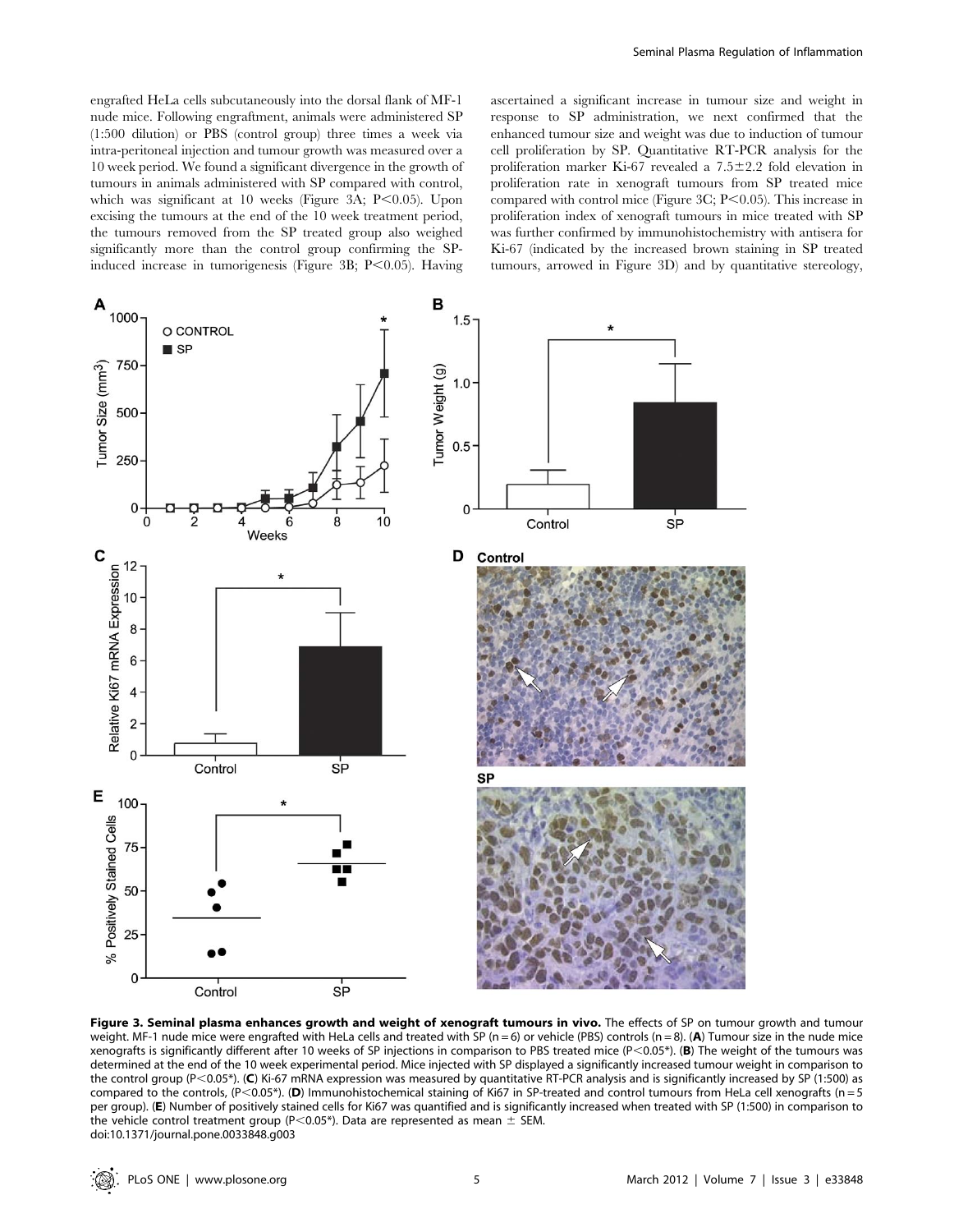engrafted HeLa cells subcutaneously into the dorsal flank of MF-1 nude mice. Following engraftment, animals were administered SP (1:500 dilution) or PBS (control group) three times a week via intra-peritoneal injection and tumour growth was measured over a 10 week period. We found a significant divergence in the growth of tumours in animals administered with SP compared with control, which was significant at 10 weeks (Figure 3A;  $P<0.05$ ). Upon excising the tumours at the end of the 10 week treatment period, the tumours removed from the SP treated group also weighed significantly more than the control group confirming the SPinduced increase in tumorigenesis (Figure 3B;  $P<0.05$ ). Having ascertained a significant increase in tumour size and weight in response to SP administration, we next confirmed that the enhanced tumour size and weight was due to induction of tumour cell proliferation by SP. Quantitative RT-PCR analysis for the proliferation marker Ki-67 revealed a  $7.5\pm2.2$  fold elevation in proliferation rate in xenograft tumours from SP treated mice compared with control mice (Figure 3C;  $P<0.05$ ). This increase in proliferation index of xenograft tumours in mice treated with SP was further confirmed by immunohistochemistry with antisera for Ki-67 (indicated by the increased brown staining in SP treated tumours, arrowed in Figure 3D) and by quantitative stereology,



Figure 3. Seminal plasma enhances growth and weight of xenograft tumours in vivo. The effects of SP on tumour growth and tumour weight. MF-1 nude mice were engrafted with HeLa cells and treated with SP (n = 6) or vehicle (PBS) controls (n = 8). (A) Tumour size in the nude mice xenografts is significantly different after 10 weeks of SP injections in comparison to PBS treated mice (P<0.05\*). (B) The weight of the tumours was determined at the end of the 10 week experimental period. Mice injected with SP displayed a significantly increased tumour weight in comparison to the control group (P<0.05\*). (C) Ki-67 mRNA expression was measured by quantitative RT-PCR analysis and is significantly increased by SP (1:500) as compared to the controls,  $(P < 0.05^*)$ . (D) Immunohistochemical staining of Ki67 in SP-treated and control tumours from HeLa cell xenografts (n = 5 per group). (E) Number of positively stained cells for Ki67 was quantified and is significantly increased when treated with SP (1:500) in comparison to the vehicle control treatment group (P<0.05\*). Data are represented as mean  $\pm$  SEM. doi:10.1371/journal.pone.0033848.g003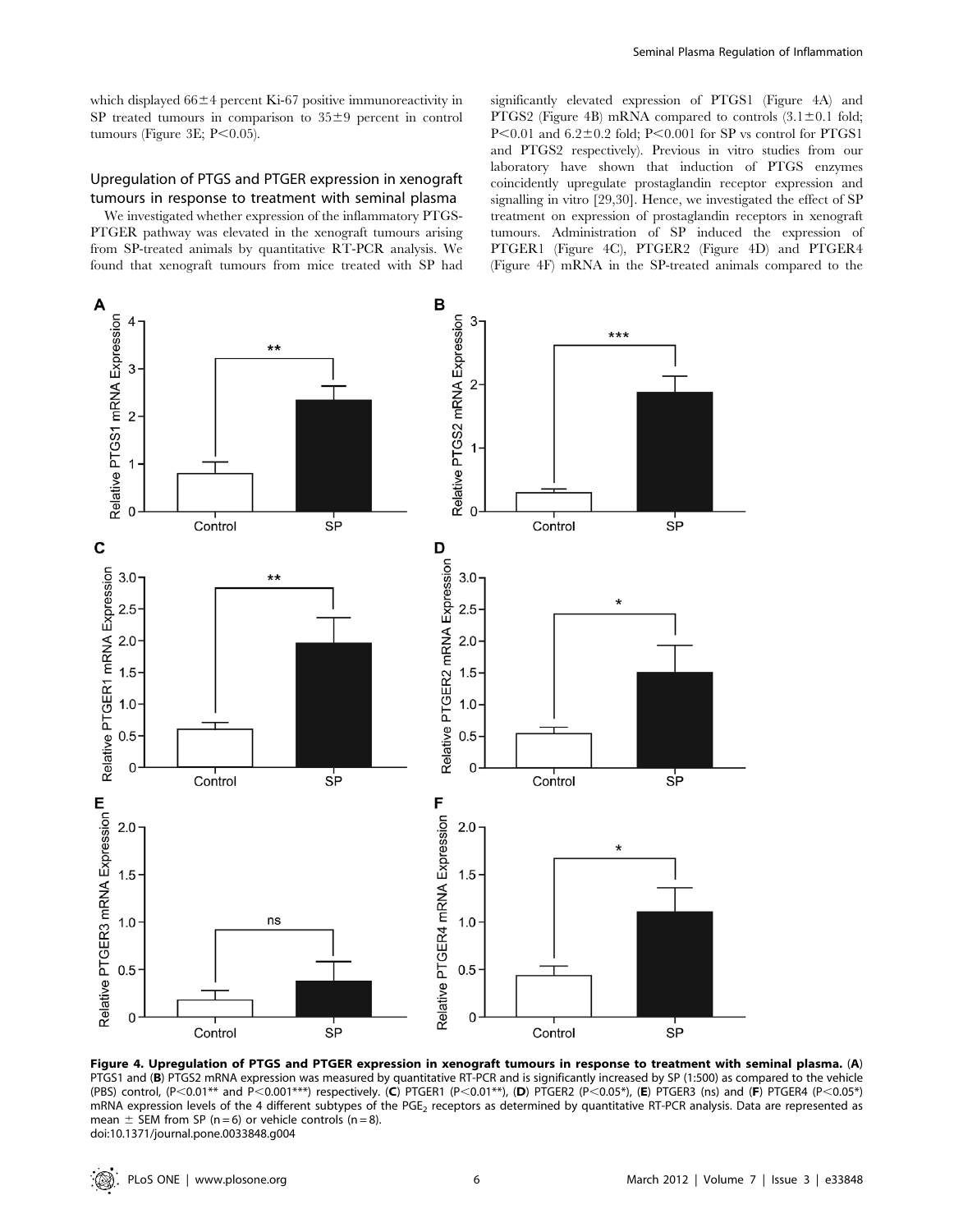## Upregulation of PTGS and PTGER expression in xenograft tumours in response to treatment with seminal plasma

We investigated whether expression of the inflammatory PTGS-PTGER pathway was elevated in the xenograft tumours arising from SP-treated animals by quantitative RT-PCR analysis. We found that xenograft tumours from mice treated with SP had significantly elevated expression of PTGS1 (Figure 4A) and PTGS2 (Figure 4B) mRNA compared to controls  $(3.1 \pm 0.1 \text{ fold})$ ; P $<$ 0.01 and 6.2 $\pm$ 0.2 fold; P $<$ 0.001 for SP vs control for PTGS1 and PTGS2 respectively). Previous in vitro studies from our laboratory have shown that induction of PTGS enzymes coincidently upregulate prostaglandin receptor expression and signalling in vitro [29,30]. Hence, we investigated the effect of SP treatment on expression of prostaglandin receptors in xenograft tumours. Administration of SP induced the expression of PTGER1 (Figure 4C), PTGER2 (Figure 4D) and PTGER4 (Figure 4F) mRNA in the SP-treated animals compared to the



Figure 4. Upregulation of PTGS and PTGER expression in xenograft tumours in response to treatment with seminal plasma. (A) PTGS1 and (B) PTGS2 mRNA expression was measured by quantitative RT-PCR and is significantly increased by SP (1:500) as compared to the vehicle (PBS) control, (P<0.01\*\* and P<0.001\*\*\*) respectively. (C) PTGER1 (P<0.01\*\*), (D) PTGER2 (P<0.05\*), (E) PTGER3 (ns) and (F) PTGER4 (P<0.05\*) mRNA expression levels of the 4 different subtypes of the PGE<sub>2</sub> receptors as determined by quantitative RT-PCR analysis. Data are represented as mean  $\pm$  SEM from SP (n = 6) or vehicle controls (n = 8). doi:10.1371/journal.pone.0033848.g004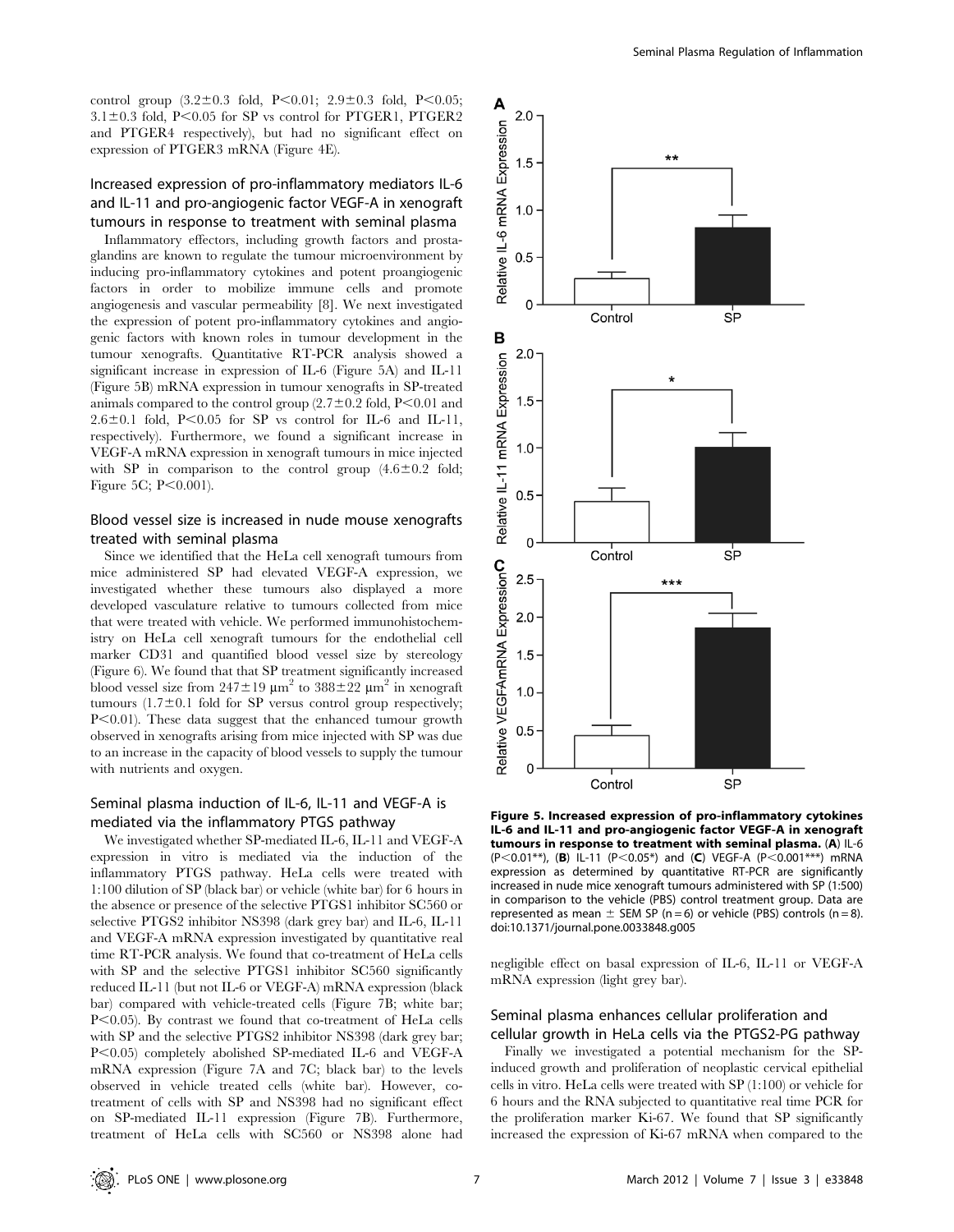control group  $(3.2 \pm 0.3 \text{ fold}, P \leq 0.01; 2.9 \pm 0.3 \text{ fold}, P \leq 0.05;$  $3.1\pm0.3$  fold, P<0.05 for SP vs control for PTGER1, PTGER2 and PTGER4 respectively), but had no significant effect on expression of PTGER3 mRNA (Figure 4E).

## Increased expression of pro-inflammatory mediators IL-6 and IL-11 and pro-angiogenic factor VEGF-A in xenograft tumours in response to treatment with seminal plasma

Inflammatory effectors, including growth factors and prostaglandins are known to regulate the tumour microenvironment by inducing pro-inflammatory cytokines and potent proangiogenic factors in order to mobilize immune cells and promote angiogenesis and vascular permeability [8]. We next investigated the expression of potent pro-inflammatory cytokines and angiogenic factors with known roles in tumour development in the tumour xenografts. Quantitative RT-PCR analysis showed a significant increase in expression of IL-6 (Figure 5A) and IL-11 (Figure 5B) mRNA expression in tumour xenografts in SP-treated animals compared to the control group  $(2.7\pm0.2$  fold, P $\leq 0.01$  and  $2.6\pm0.1$  fold, P<0.05 for SP vs control for IL-6 and IL-11, respectively). Furthermore, we found a significant increase in VEGF-A mRNA expression in xenograft tumours in mice injected with SP in comparison to the control group  $(4.6 \pm 0.2 \text{ fold})$ ; Figure 5C;  $P < 0.001$ ).

## Blood vessel size is increased in nude mouse xenografts treated with seminal plasma

Since we identified that the HeLa cell xenograft tumours from mice administered SP had elevated VEGF-A expression, we investigated whether these tumours also displayed a more developed vasculature relative to tumours collected from mice that were treated with vehicle. We performed immunohistochemistry on HeLa cell xenograft tumours for the endothelial cell marker CD31 and quantified blood vessel size by stereology (Figure 6). We found that that SP treatment significantly increased blood vessel size from  $247 \pm 19 \mu m^2$  to  $388 \pm 22 \mu m^2$  in xenograft tumours  $(1.7\pm0.1)$  fold for SP versus control group respectively;  $P<0.01$ ). These data suggest that the enhanced tumour growth observed in xenografts arising from mice injected with SP was due to an increase in the capacity of blood vessels to supply the tumour with nutrients and oxygen.

## Seminal plasma induction of IL-6, IL-11 and VEGF-A is mediated via the inflammatory PTGS pathway

We investigated whether SP-mediated IL-6, IL-11 and VEGF-A expression in vitro is mediated via the induction of the inflammatory PTGS pathway. HeLa cells were treated with 1:100 dilution of SP (black bar) or vehicle (white bar) for 6 hours in the absence or presence of the selective PTGS1 inhibitor SC560 or selective PTGS2 inhibitor NS398 (dark grey bar) and IL-6, IL-11 and VEGF-A mRNA expression investigated by quantitative real time RT-PCR analysis. We found that co-treatment of HeLa cells with SP and the selective PTGS1 inhibitor SC560 significantly reduced IL-11 (but not IL-6 or VEGF-A) mRNA expression (black bar) compared with vehicle-treated cells (Figure 7B; white bar; P<0.05). By contrast we found that co-treatment of HeLa cells with SP and the selective PTGS2 inhibitor NS398 (dark grey bar; P<0.05) completely abolished SP-mediated IL-6 and VEGF-A mRNA expression (Figure 7A and 7C; black bar) to the levels observed in vehicle treated cells (white bar). However, cotreatment of cells with SP and NS398 had no significant effect on SP-mediated IL-11 expression (Figure 7B). Furthermore, treatment of HeLa cells with SC560 or NS398 alone had



Figure 5. Increased expression of pro-inflammatory cytokines IL-6 and IL-11 and pro-angiogenic factor VEGF-A in xenograft tumours in response to treatment with seminal plasma. (A) IL-6 (P<0.01\*\*), (B) IL-11 (P<0.05\*) and (C) VEGF-A (P<0.001\*\*\*) mRNA expression as determined by quantitative RT-PCR are significantly increased in nude mice xenograft tumours administered with SP (1:500) in comparison to the vehicle (PBS) control treatment group. Data are represented as mean  $\pm$  SEM SP (n = 6) or vehicle (PBS) controls (n = 8). doi:10.1371/journal.pone.0033848.g005

negligible effect on basal expression of IL-6, IL-11 or VEGF-A mRNA expression (light grey bar).

## Seminal plasma enhances cellular proliferation and cellular growth in HeLa cells via the PTGS2-PG pathway

Finally we investigated a potential mechanism for the SPinduced growth and proliferation of neoplastic cervical epithelial cells in vitro. HeLa cells were treated with SP (1:100) or vehicle for 6 hours and the RNA subjected to quantitative real time PCR for the proliferation marker Ki-67. We found that SP significantly increased the expression of Ki-67 mRNA when compared to the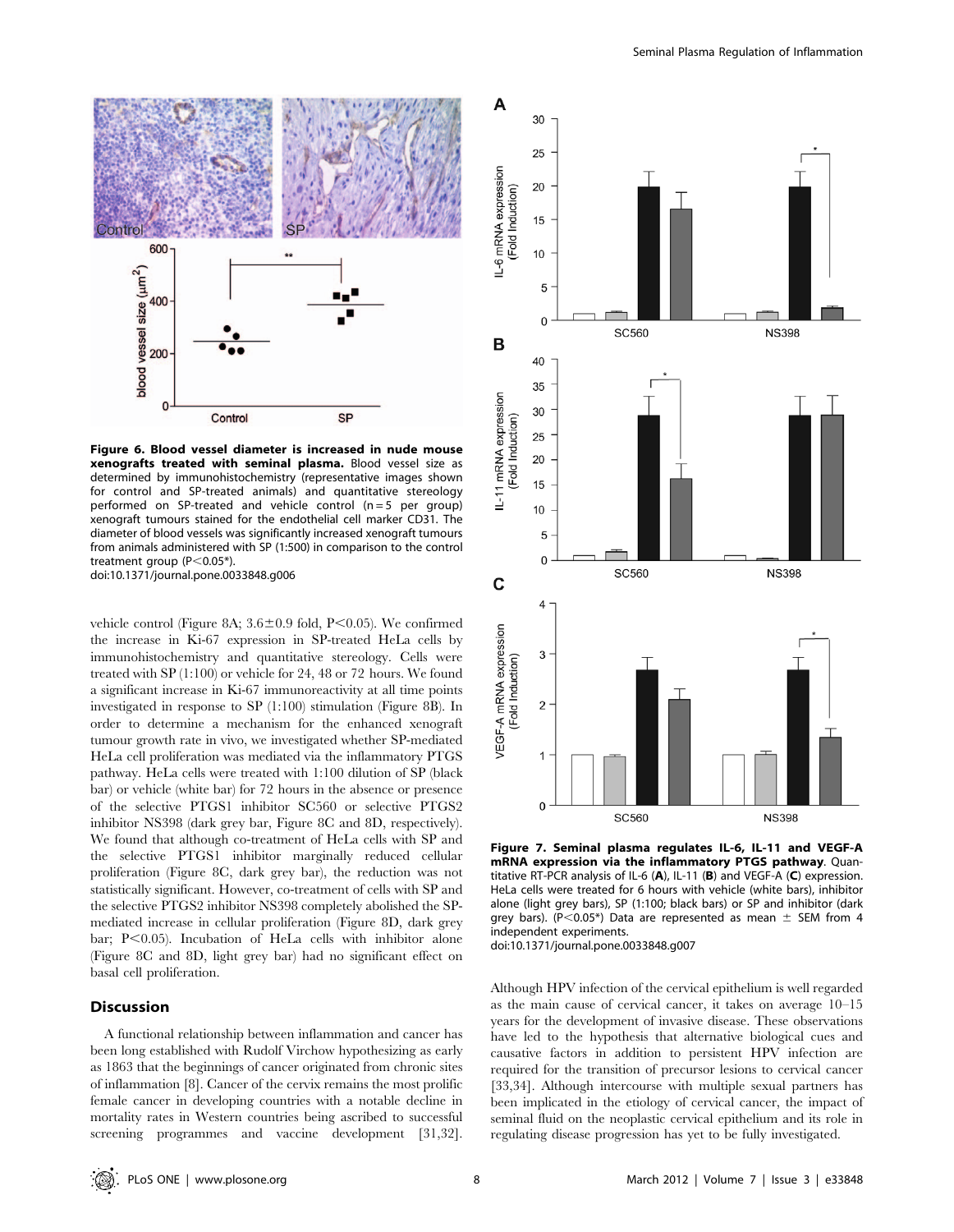

Figure 6. Blood vessel diameter is increased in nude mouse xenografts treated with seminal plasma. Blood vessel size as determined by immunohistochemistry (representative images shown for control and SP-treated animals) and quantitative stereology performed on SP-treated and vehicle control  $(n=5$  per group) xenograft tumours stained for the endothelial cell marker CD31. The diameter of blood vessels was significantly increased xenograft tumours from animals administered with SP (1:500) in comparison to the control treatment group ( $P<0.05$ \*). doi:10.1371/journal.pone.0033848.g006

vehicle control (Figure 8A;  $3.6\pm0.9$  fold, P $< 0.05$ ). We confirmed the increase in Ki-67 expression in SP-treated HeLa cells by immunohistochemistry and quantitative stereology. Cells were treated with SP (1:100) or vehicle for 24, 48 or 72 hours. We found a significant increase in Ki-67 immunoreactivity at all time points investigated in response to SP (1:100) stimulation (Figure 8B). In order to determine a mechanism for the enhanced xenograft tumour growth rate in vivo, we investigated whether SP-mediated HeLa cell proliferation was mediated via the inflammatory PTGS pathway. HeLa cells were treated with 1:100 dilution of SP (black bar) or vehicle (white bar) for 72 hours in the absence or presence of the selective PTGS1 inhibitor SC560 or selective PTGS2 inhibitor NS398 (dark grey bar, Figure 8C and 8D, respectively). We found that although co-treatment of HeLa cells with SP and the selective PTGS1 inhibitor marginally reduced cellular proliferation (Figure 8C, dark grey bar), the reduction was not statistically significant. However, co-treatment of cells with SP and the selective PTGS2 inhibitor NS398 completely abolished the SPmediated increase in cellular proliferation (Figure 8D, dark grey bar;  $P<0.05$ ). Incubation of HeLa cells with inhibitor alone (Figure 8C and 8D, light grey bar) had no significant effect on basal cell proliferation.

#### **Discussion**

A functional relationship between inflammation and cancer has been long established with Rudolf Virchow hypothesizing as early as 1863 that the beginnings of cancer originated from chronic sites of inflammation [8]. Cancer of the cervix remains the most prolific female cancer in developing countries with a notable decline in mortality rates in Western countries being ascribed to successful screening programmes and vaccine development [31,32].



Figure 7. Seminal plasma regulates IL-6, IL-11 and VEGF-A mRNA expression via the inflammatory PTGS pathway. Quantitative RT-PCR analysis of IL-6 (A), IL-11 (B) and VEGF-A (C) expression. HeLa cells were treated for 6 hours with vehicle (white bars), inhibitor alone (light grey bars), SP (1:100; black bars) or SP and inhibitor (dark grey bars). (P<0.05\*) Data are represented as mean  $\pm$  SEM from 4 independent experiments.

doi:10.1371/journal.pone.0033848.g007

Although HPV infection of the cervical epithelium is well regarded as the main cause of cervical cancer, it takes on average 10–15 years for the development of invasive disease. These observations have led to the hypothesis that alternative biological cues and causative factors in addition to persistent HPV infection are required for the transition of precursor lesions to cervical cancer [33,34]. Although intercourse with multiple sexual partners has been implicated in the etiology of cervical cancer, the impact of seminal fluid on the neoplastic cervical epithelium and its role in regulating disease progression has yet to be fully investigated.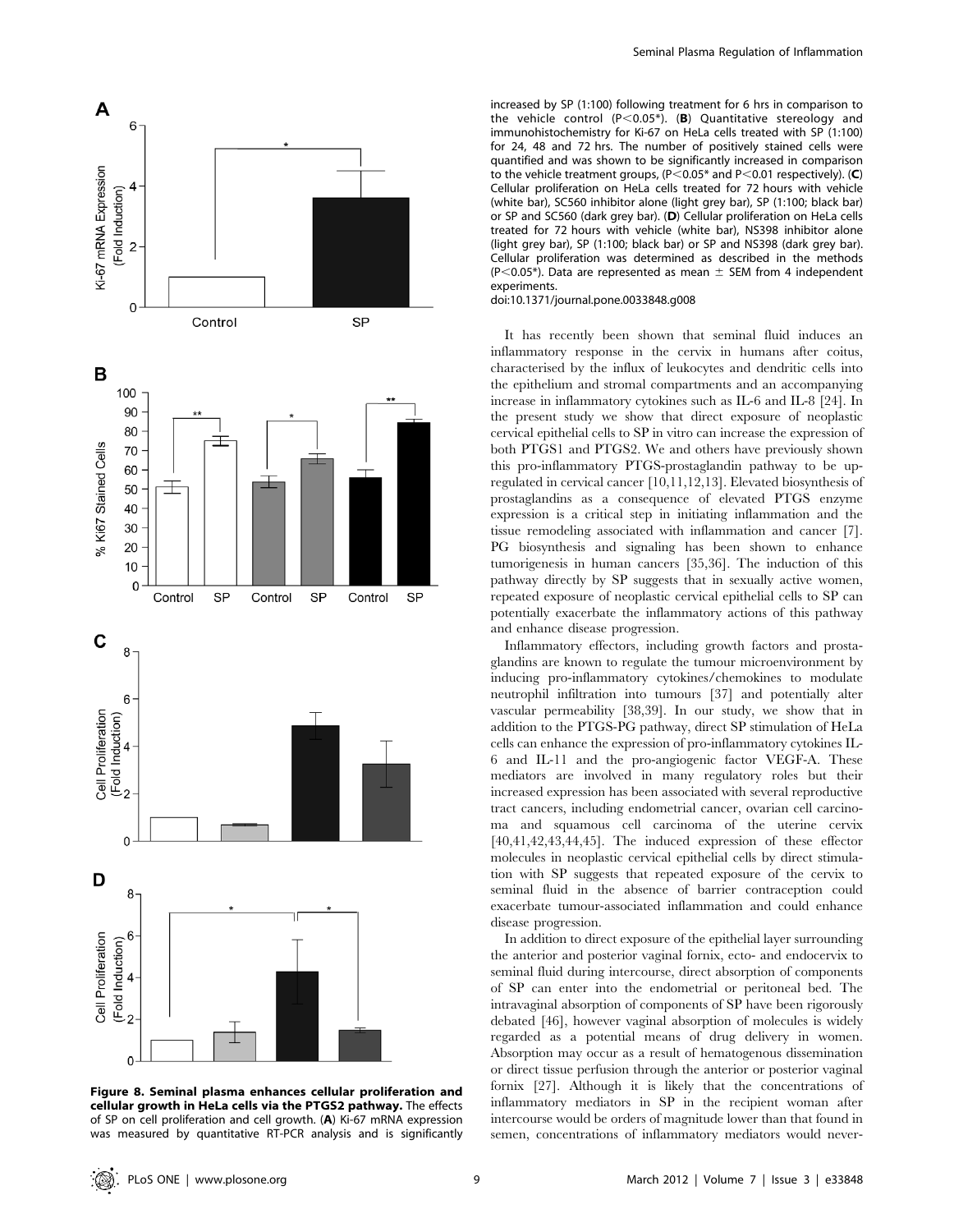

Figure 8. Seminal plasma enhances cellular proliferation and cellular growth in HeLa cells via the PTGS2 pathway. The effects of SP on cell proliferation and cell growth. (A) Ki-67 mRNA expression was measured by quantitative RT-PCR analysis and is significantly

increased by SP (1:100) following treatment for 6 hrs in comparison to the vehicle control ( $P < 0.05^*$ ). (B) Quantitative stereology and immunohistochemistry for Ki-67 on HeLa cells treated with SP (1:100) for 24, 48 and 72 hrs. The number of positively stained cells were quantified and was shown to be significantly increased in comparison to the vehicle treatment groups,  $(P<0.05*$  and P $< 0.01$  respectively). (C) Cellular proliferation on HeLa cells treated for 72 hours with vehicle (white bar), SC560 inhibitor alone (light grey bar), SP (1:100; black bar) or SP and SC560 (dark grey bar). (D) Cellular proliferation on HeLa cells treated for 72 hours with vehicle (white bar), NS398 inhibitor alone (light grey bar), SP (1:100; black bar) or SP and NS398 (dark grey bar). Cellular proliferation was determined as described in the methods (P $<$ 0.05\*). Data are represented as mean  $\pm$  SEM from 4 independent experiments.

doi:10.1371/journal.pone.0033848.g008

It has recently been shown that seminal fluid induces an inflammatory response in the cervix in humans after coitus, characterised by the influx of leukocytes and dendritic cells into the epithelium and stromal compartments and an accompanying increase in inflammatory cytokines such as IL-6 and IL-8 [24]. In the present study we show that direct exposure of neoplastic cervical epithelial cells to SP in vitro can increase the expression of both PTGS1 and PTGS2. We and others have previously shown this pro-inflammatory PTGS-prostaglandin pathway to be upregulated in cervical cancer [10,11,12,13]. Elevated biosynthesis of prostaglandins as a consequence of elevated PTGS enzyme expression is a critical step in initiating inflammation and the tissue remodeling associated with inflammation and cancer [7]. PG biosynthesis and signaling has been shown to enhance tumorigenesis in human cancers [35,36]. The induction of this pathway directly by SP suggests that in sexually active women, repeated exposure of neoplastic cervical epithelial cells to SP can potentially exacerbate the inflammatory actions of this pathway and enhance disease progression.

Inflammatory effectors, including growth factors and prostaglandins are known to regulate the tumour microenvironment by inducing pro-inflammatory cytokines/chemokines to modulate neutrophil infiltration into tumours [37] and potentially alter vascular permeability [38,39]. In our study, we show that in addition to the PTGS-PG pathway, direct SP stimulation of HeLa cells can enhance the expression of pro-inflammatory cytokines IL-6 and IL-11 and the pro-angiogenic factor VEGF-A. These mediators are involved in many regulatory roles but their increased expression has been associated with several reproductive tract cancers, including endometrial cancer, ovarian cell carcinoma and squamous cell carcinoma of the uterine cervix [40,41,42,43,44,45]. The induced expression of these effector molecules in neoplastic cervical epithelial cells by direct stimulation with SP suggests that repeated exposure of the cervix to seminal fluid in the absence of barrier contraception could exacerbate tumour-associated inflammation and could enhance disease progression.

In addition to direct exposure of the epithelial layer surrounding the anterior and posterior vaginal fornix, ecto- and endocervix to seminal fluid during intercourse, direct absorption of components of SP can enter into the endometrial or peritoneal bed. The intravaginal absorption of components of SP have been rigorously debated [46], however vaginal absorption of molecules is widely regarded as a potential means of drug delivery in women. Absorption may occur as a result of hematogenous dissemination or direct tissue perfusion through the anterior or posterior vaginal fornix [27]. Although it is likely that the concentrations of inflammatory mediators in SP in the recipient woman after intercourse would be orders of magnitude lower than that found in semen, concentrations of inflammatory mediators would never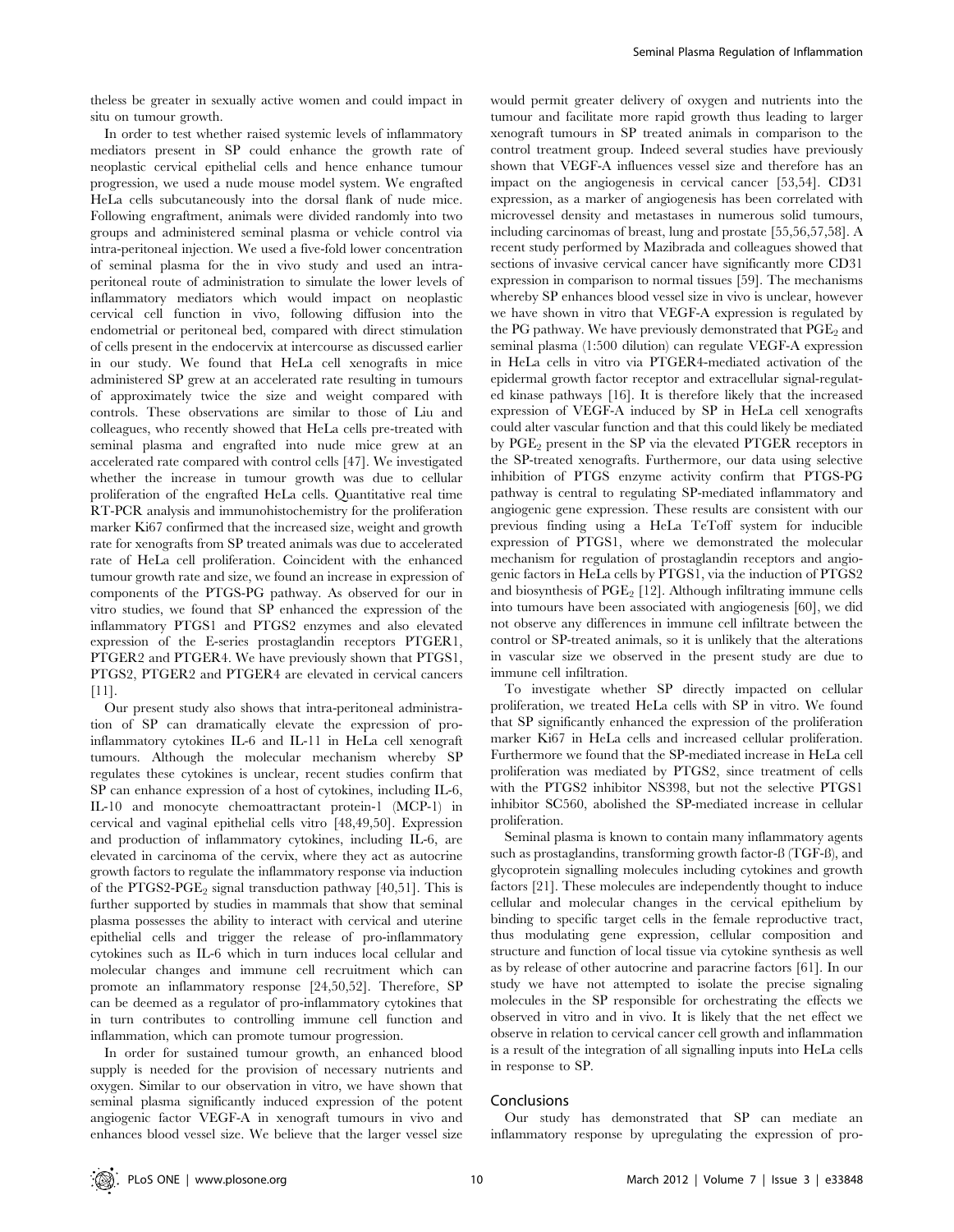theless be greater in sexually active women and could impact in situ on tumour growth.

In order to test whether raised systemic levels of inflammatory mediators present in SP could enhance the growth rate of neoplastic cervical epithelial cells and hence enhance tumour progression, we used a nude mouse model system. We engrafted HeLa cells subcutaneously into the dorsal flank of nude mice. Following engraftment, animals were divided randomly into two groups and administered seminal plasma or vehicle control via intra-peritoneal injection. We used a five-fold lower concentration of seminal plasma for the in vivo study and used an intraperitoneal route of administration to simulate the lower levels of inflammatory mediators which would impact on neoplastic cervical cell function in vivo, following diffusion into the endometrial or peritoneal bed, compared with direct stimulation of cells present in the endocervix at intercourse as discussed earlier in our study. We found that HeLa cell xenografts in mice administered SP grew at an accelerated rate resulting in tumours of approximately twice the size and weight compared with controls. These observations are similar to those of Liu and colleagues, who recently showed that HeLa cells pre-treated with seminal plasma and engrafted into nude mice grew at an accelerated rate compared with control cells [47]. We investigated whether the increase in tumour growth was due to cellular proliferation of the engrafted HeLa cells. Quantitative real time RT-PCR analysis and immunohistochemistry for the proliferation marker Ki67 confirmed that the increased size, weight and growth rate for xenografts from SP treated animals was due to accelerated rate of HeLa cell proliferation. Coincident with the enhanced tumour growth rate and size, we found an increase in expression of components of the PTGS-PG pathway. As observed for our in vitro studies, we found that SP enhanced the expression of the inflammatory PTGS1 and PTGS2 enzymes and also elevated expression of the E-series prostaglandin receptors PTGER1, PTGER2 and PTGER4. We have previously shown that PTGS1, PTGS2, PTGER2 and PTGER4 are elevated in cervical cancers [11].

Our present study also shows that intra-peritoneal administration of SP can dramatically elevate the expression of proinflammatory cytokines IL-6 and IL-11 in HeLa cell xenograft tumours. Although the molecular mechanism whereby SP regulates these cytokines is unclear, recent studies confirm that SP can enhance expression of a host of cytokines, including IL-6, IL-10 and monocyte chemoattractant protein-1 (MCP-1) in cervical and vaginal epithelial cells vitro [48,49,50]. Expression and production of inflammatory cytokines, including IL-6, are elevated in carcinoma of the cervix, where they act as autocrine growth factors to regulate the inflammatory response via induction of the  $PTGS2-PGE_2$  signal transduction pathway [40,51]. This is further supported by studies in mammals that show that seminal plasma possesses the ability to interact with cervical and uterine epithelial cells and trigger the release of pro-inflammatory cytokines such as IL-6 which in turn induces local cellular and molecular changes and immune cell recruitment which can promote an inflammatory response [24,50,52]. Therefore, SP can be deemed as a regulator of pro-inflammatory cytokines that in turn contributes to controlling immune cell function and inflammation, which can promote tumour progression.

In order for sustained tumour growth, an enhanced blood supply is needed for the provision of necessary nutrients and oxygen. Similar to our observation in vitro, we have shown that seminal plasma significantly induced expression of the potent angiogenic factor VEGF-A in xenograft tumours in vivo and enhances blood vessel size. We believe that the larger vessel size

would permit greater delivery of oxygen and nutrients into the tumour and facilitate more rapid growth thus leading to larger xenograft tumours in SP treated animals in comparison to the control treatment group. Indeed several studies have previously shown that VEGF-A influences vessel size and therefore has an impact on the angiogenesis in cervical cancer [53,54]. CD31 expression, as a marker of angiogenesis has been correlated with microvessel density and metastases in numerous solid tumours, including carcinomas of breast, lung and prostate [55,56,57,58]. A recent study performed by Mazibrada and colleagues showed that sections of invasive cervical cancer have significantly more CD31 expression in comparison to normal tissues [59]. The mechanisms whereby SP enhances blood vessel size in vivo is unclear, however we have shown in vitro that VEGF-A expression is regulated by the PG pathway. We have previously demonstrated that  $PGE_2$  and seminal plasma (1:500 dilution) can regulate VEGF-A expression in HeLa cells in vitro via PTGER4-mediated activation of the epidermal growth factor receptor and extracellular signal-regulated kinase pathways [16]. It is therefore likely that the increased expression of VEGF-A induced by SP in HeLa cell xenografts could alter vascular function and that this could likely be mediated by PGE<sub>2</sub> present in the SP via the elevated PTGER receptors in the SP-treated xenografts. Furthermore, our data using selective inhibition of PTGS enzyme activity confirm that PTGS-PG pathway is central to regulating SP-mediated inflammatory and angiogenic gene expression. These results are consistent with our previous finding using a HeLa TeToff system for inducible expression of PTGS1, where we demonstrated the molecular mechanism for regulation of prostaglandin receptors and angiogenic factors in HeLa cells by PTGS1, via the induction of PTGS2 and biosynthesis of  $PGE_2$  [12]. Although infiltrating immune cells into tumours have been associated with angiogenesis [60], we did not observe any differences in immune cell infiltrate between the control or SP-treated animals, so it is unlikely that the alterations in vascular size we observed in the present study are due to immune cell infiltration.

To investigate whether SP directly impacted on cellular proliferation, we treated HeLa cells with SP in vitro. We found that SP significantly enhanced the expression of the proliferation marker Ki67 in HeLa cells and increased cellular proliferation. Furthermore we found that the SP-mediated increase in HeLa cell proliferation was mediated by PTGS2, since treatment of cells with the PTGS2 inhibitor NS398, but not the selective PTGS1 inhibitor SC560, abolished the SP-mediated increase in cellular proliferation.

Seminal plasma is known to contain many inflammatory agents such as prostaglandins, transforming growth factor-ß (TGF-ß), and glycoprotein signalling molecules including cytokines and growth factors [21]. These molecules are independently thought to induce cellular and molecular changes in the cervical epithelium by binding to specific target cells in the female reproductive tract, thus modulating gene expression, cellular composition and structure and function of local tissue via cytokine synthesis as well as by release of other autocrine and paracrine factors [61]. In our study we have not attempted to isolate the precise signaling molecules in the SP responsible for orchestrating the effects we observed in vitro and in vivo. It is likely that the net effect we observe in relation to cervical cancer cell growth and inflammation is a result of the integration of all signalling inputs into HeLa cells in response to SP.

#### Conclusions

Our study has demonstrated that SP can mediate an inflammatory response by upregulating the expression of pro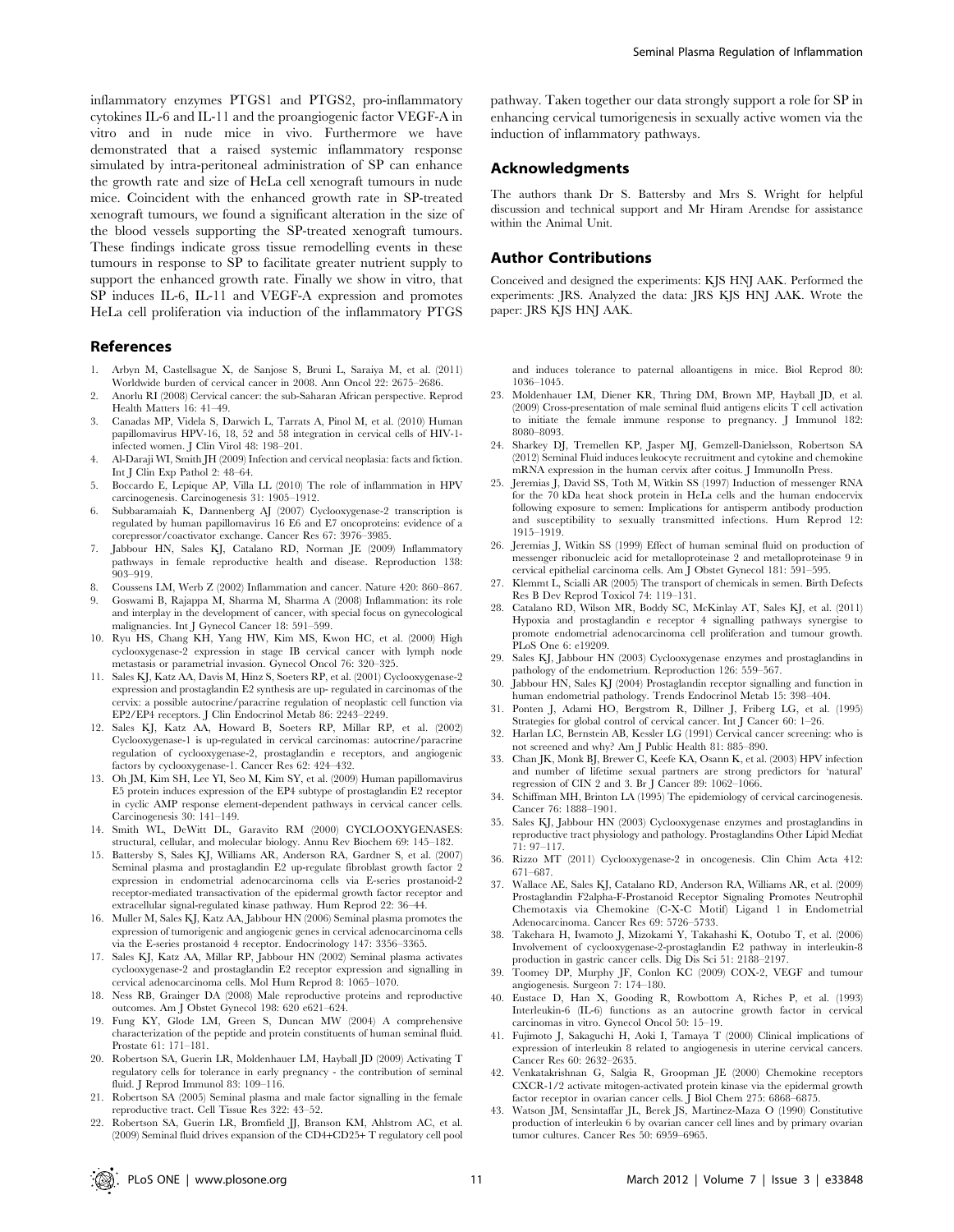inflammatory enzymes PTGS1 and PTGS2, pro-inflammatory cytokines IL-6 and IL-11 and the proangiogenic factor VEGF-A in vitro and in nude mice in vivo. Furthermore we have demonstrated that a raised systemic inflammatory response simulated by intra-peritoneal administration of SP can enhance the growth rate and size of HeLa cell xenograft tumours in nude mice. Coincident with the enhanced growth rate in SP-treated xenograft tumours, we found a significant alteration in the size of the blood vessels supporting the SP-treated xenograft tumours. These findings indicate gross tissue remodelling events in these tumours in response to SP to facilitate greater nutrient supply to support the enhanced growth rate. Finally we show in vitro, that SP induces IL-6, IL-11 and VEGF-A expression and promotes HeLa cell proliferation via induction of the inflammatory PTGS

### References

- 1. Arbyn M, Castellsague X, de Sanjose S, Bruni L, Saraiya M, et al. (2011) Worldwide burden of cervical cancer in 2008. Ann Oncol 22: 2675–2686.
- 2. Anorlu RI (2008) Cervical cancer: the sub-Saharan African perspective. Reprod Health Matters 16: 41–49.
- 3. Canadas MP, Videla S, Darwich L, Tarrats A, Pinol M, et al. (2010) Human papillomavirus HPV-16, 18, 52 and 58 integration in cervical cells of HIV-1 infected women. J Clin Virol 48: 198–201.
- 4. Al-Daraji WI, Smith JH (2009) Infection and cervical neoplasia: facts and fiction. Int J Clin Exp Pathol 2: 48–64.
- 5. Boccardo E, Lepique AP, Villa LL (2010) The role of inflammation in HPV carcinogenesis. Carcinogenesis 31: 1905–1912.
- 6. Subbaramaiah K, Dannenberg AJ (2007) Cyclooxygenase-2 transcription is regulated by human papillomavirus 16 E6 and E7 oncoproteins: evidence of a corepressor/coactivator exchange. Cancer Res 67: 3976–3985.
- 7. Jabbour HN, Sales KJ, Catalano RD, Norman JE (2009) Inflammatory pathways in female reproductive health and disease. Reproduction 138: 903–919.
- 8. Coussens LM, Werb Z (2002) Inflammation and cancer. Nature 420: 860–867. 9. Goswami B, Rajappa M, Sharma M, Sharma A (2008) Inflammation: its role
- and interplay in the development of cancer, with special focus on gynecological malignancies. Int J Gynecol Cancer 18: 591–599.
- 10. Ryu HS, Chang KH, Yang HW, Kim MS, Kwon HC, et al. (2000) High cyclooxygenase-2 expression in stage IB cervical cancer with lymph node metastasis or parametrial invasion. Gynecol Oncol 76: 320–325.
- 11. Sales KJ, Katz AA, Davis M, Hinz S, Soeters RP, et al. (2001) Cyclooxygenase-2 expression and prostaglandin E2 synthesis are up- regulated in carcinomas of the cervix: a possible autocrine/paracrine regulation of neoplastic cell function via EP2/EP4 receptors. J Clin Endocrinol Metab 86: 2243–2249.
- 12. Sales KJ, Katz AA, Howard B, Soeters RP, Millar RP, et al. (2002) Cyclooxygenase-1 is up-regulated in cervical carcinomas: autocrine/paracrine regulation of cyclooxygenase-2, prostaglandin e receptors, and angiogenic factors by cyclooxygenase-1. Cancer Res 62: 424–432.
- 13. Oh JM, Kim SH, Lee YI, Seo M, Kim SY, et al. (2009) Human papillomavirus E5 protein induces expression of the EP4 subtype of prostaglandin E2 receptor in cyclic AMP response element-dependent pathways in cervical cancer cells. Carcinogenesis 30: 141–149.
- 14. Smith WL, DeWitt DL, Garavito RM (2000) CYCLOOXYGENASES: structural, cellular, and molecular biology. Annu Rev Biochem 69: 145–182.
- 15. Battersby S, Sales KJ, Williams AR, Anderson RA, Gardner S, et al. (2007) Seminal plasma and prostaglandin E2 up-regulate fibroblast growth factor 2 expression in endometrial adenocarcinoma cells via E-series prostanoid-2 receptor-mediated transactivation of the epidermal growth factor receptor and extracellular signal-regulated kinase pathway. Hum Reprod 22: 36–44.
- 16. Muller M, Sales KJ, Katz AA, Jabbour HN (2006) Seminal plasma promotes the expression of tumorigenic and angiogenic genes in cervical adenocarcinoma cells via the E-series prostanoid 4 receptor. Endocrinology 147: 3356–3365.
- 17. Sales KJ, Katz AA, Millar RP, Jabbour HN (2002) Seminal plasma activates cyclooxygenase-2 and prostaglandin E2 receptor expression and signalling in cervical adenocarcinoma cells. Mol Hum Reprod 8: 1065–1070.
- 18. Ness RB, Grainger DA (2008) Male reproductive proteins and reproductive outcomes. Am J Obstet Gynecol 198: 620 e621–624.
- 19. Fung KY, Glode LM, Green S, Duncan MW (2004) A comprehensive characterization of the peptide and protein constituents of human seminal fluid. Prostate 61: 171–181.
- 20. Robertson SA, Guerin LR, Moldenhauer LM, Hayball JD (2009) Activating T regulatory cells for tolerance in early pregnancy - the contribution of seminal fluid. J Reprod Immunol 83: 109–116.
- 21. Robertson SA (2005) Seminal plasma and male factor signalling in the female reproductive tract. Cell Tissue Res 322: 43–52.
- 22. Robertson SA, Guerin LR, Bromfield JJ, Branson KM, Ahlstrom AC, et al. (2009) Seminal fluid drives expansion of the CD4+CD25+ T regulatory cell pool

pathway. Taken together our data strongly support a role for SP in enhancing cervical tumorigenesis in sexually active women via the induction of inflammatory pathways.

## Acknowledgments

The authors thank Dr S. Battersby and Mrs S. Wright for helpful discussion and technical support and Mr Hiram Arendse for assistance within the Animal Unit.

## Author Contributions

Conceived and designed the experiments: KJS HNJ AAK. Performed the experiments: JRS. Analyzed the data: JRS KJS HNJ AAK. Wrote the paper: JRS KJS HNJ AAK.

and induces tolerance to paternal alloantigens in mice. Biol Reprod 80: 1036–1045.

- 23. Moldenhauer LM, Diener KR, Thring DM, Brown MP, Hayball JD, et al. (2009) Cross-presentation of male seminal fluid antigens elicits T cell activation to initiate the female immune response to pregnancy. J Immunol 182: 8080–8093.
- 24. Sharkey DJ, Tremellen KP, Jasper MJ, Gemzell-Danielsson, Robertson SA (2012) Seminal Fluid induces leukocyte recruitment and cytokine and chemokine mRNA expression in the human cervix after coitus. J ImmunolIn Press.
- 25. Jeremias J, David SS, Toth M, Witkin SS (1997) Induction of messenger RNA for the 70 kDa heat shock protein in HeLa cells and the human endocervix following exposure to semen: Implications for antisperm antibody production and susceptibility to sexually transmitted infections. Hum Reprod 12: 1915–1919.
- 26. Jeremias J, Witkin SS (1999) Effect of human seminal fluid on production of messenger ribonucleic acid for metalloproteinase 2 and metalloproteinase 9 in cervical epithelial carcinoma cells. Am J Obstet Gynecol 181: 591–595.
- 27. Klemmt L, Scialli AR (2005) The transport of chemicals in semen. Birth Defects Res B Dev Reprod Toxicol 74: 119–131.
- 28. Catalano RD, Wilson MR, Boddy SC, McKinlay AT, Sales KJ, et al. (2011) Hypoxia and prostaglandin e receptor 4 signalling pathways synergise to promote endometrial adenocarcinoma cell proliferation and tumour growth. PLoS One 6: e19209.
- 29. Sales KJ, Jabbour HN (2003) Cyclooxygenase enzymes and prostaglandins in pathology of the endometrium. Reproduction 126: 559–567.
- 30. Jabbour HN, Sales KJ (2004) Prostaglandin receptor signalling and function in human endometrial pathology. Trends Endocrinol Metab 15: 398–404.
- 31. Ponten J, Adami HO, Bergstrom R, Dillner J, Friberg LG, et al. (1995) Strategies for global control of cervical cancer. Int J Cancer 60: 1–26.
- 32. Harlan LC, Bernstein AB, Kessler LG (1991) Cervical cancer screening: who is not screened and why? Am J Public Health 81: 885–890.
- 33. Chan JK, Monk BJ, Brewer C, Keefe KA, Osann K, et al. (2003) HPV infection and number of lifetime sexual partners are strong predictors for 'natural' regression of CIN 2 and 3. Br J Cancer 89: 1062–1066
- 34. Schiffman MH, Brinton LA (1995) The epidemiology of cervical carcinogenesis. Cancer 76: 1888–1901.
- 35. Sales KJ, Jabbour HN (2003) Cyclooxygenase enzymes and prostaglandins in reproductive tract physiology and pathology. Prostaglandins Other Lipid Mediat 71: 97–117.
- 36. Rizzo MT (2011) Cyclooxygenase-2 in oncogenesis. Clin Chim Acta 412: 671–687.
- 37. Wallace AE, Sales KJ, Catalano RD, Anderson RA, Williams AR, et al. (2009) Prostaglandin F2alpha-F-Prostanoid Receptor Signaling Promotes Neutrophil Chemotaxis via Chemokine (C-X-C Motif) Ligand 1 in Endometrial Adenocarcinoma. Cancer Res 69: 5726–5733.
- 38. Takehara H, Iwamoto J, Mizokami Y, Takahashi K, Ootubo T, et al. (2006) Involvement of cyclooxygenase-2-prostaglandin E2 pathway in interleukin-8 production in gastric cancer cells. Dig Dis Sci 51: 2188–2197.
- 39. Toomey DP, Murphy JF, Conlon KC (2009) COX-2, VEGF and tumour angiogenesis. Surgeon 7: 174–180.
- 40. Eustace D, Han X, Gooding R, Rowbottom A, Riches P, et al. (1993) Interleukin-6 (IL-6) functions as an autocrine growth factor in cervical carcinomas in vitro. Gynecol Oncol 50: 15–19.
- 41. Fujimoto J, Sakaguchi H, Aoki I, Tamaya T (2000) Clinical implications of expression of interleukin 8 related to angiogenesis in uterine cervical cancers. Cancer Res 60: 2632–2635.
- 42. Venkatakrishnan G, Salgia R, Groopman JE (2000) Chemokine receptors CXCR-1/2 activate mitogen-activated protein kinase via the epidermal growth factor receptor in ovarian cancer cells. J Biol Chem 275: 6868–6875.
- 43. Watson JM, Sensintaffar JL, Berek JS, Martinez-Maza O (1990) Constitutive production of interleukin 6 by ovarian cancer cell lines and by primary ovarian tumor cultures. Cancer Res 50: 6959–6965.